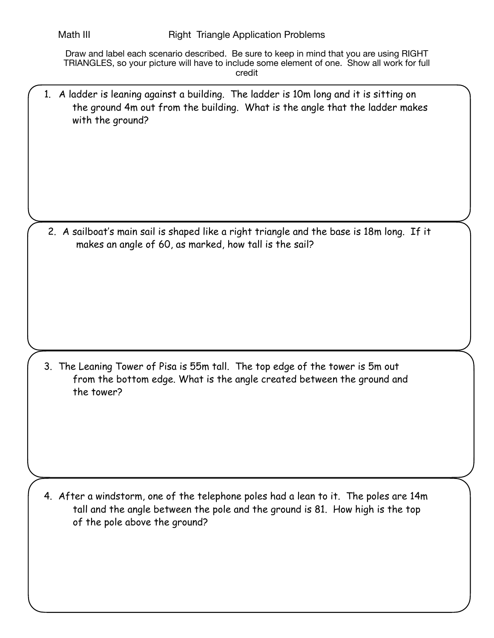Draw and label each scenario described. Be sure to keep in mind that you are using RIGHT TRIANGLES, so your picture will have to include some element of one. Show all work for full credit

1. A ladder is leaning against a building. The ladder is 10m long and it is sitting on the ground 4m out from the building. What is the angle that the ladder makes with the ground?

2. A sailboat's main sail is shaped like a right triangle and the base is 18m long. If it makes an angle of 60, as marked, how tall is the sail?

3. The Leaning Tower of Pisa is 55m tall. The top edge of the tower is 5m out from the bottom edge. What is the angle created between the ground and the tower?

4. After a windstorm, one of the telephone poles had a lean to it. The poles are 14m tall and the angle between the pole and the ground is 81. How high is the top of the pole above the ground?